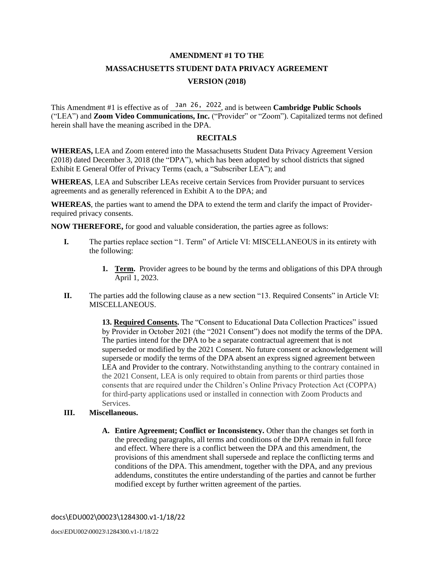#### **AMENDMENT #1 TO THE**

# **MASSACHUSETTS STUDENT DATA PRIVACY AGREEMENT VERSION (2018)**

This Amendment #1 is effective as of  $\frac{Jan 26}{2}$ , 2022, and is between **Cambridge Public Schools** ("LEA") and **Zoom Video Communications, Inc.** ("Provider" or "Zoom"). Capitalized terms not defined herein shall have the meaning ascribed in the DPA.

#### **RECITALS**

**WHEREAS,** LEA and Zoom entered into the Massachusetts Student Data Privacy Agreement Version (2018) dated December 3, 2018 (the "DPA"), which has been adopted by school districts that signed Exhibit E General Offer of Privacy Terms (each, a "Subscriber LEA"); and

**WHEREAS**, LEA and Subscriber LEAs receive certain Services from Provider pursuant to services agreements and as generally referenced in Exhibit A to the DPA; and

**WHEREAS**, the parties want to amend the DPA to extend the term and clarify the impact of Providerrequired privacy consents.

**NOW THEREFORE,** for good and valuable consideration, the parties agree as follows:

- **I.** The parties replace section "1. Term" of Article VI: MISCELLANEOUS in its entirety with the following:
	- **1. Term.** Provider agrees to be bound by the terms and obligations of this DPA through April 1, 2023.
- **II.** The parties add the following clause as a new section "13. Required Consents" in Article VI: MISCELLANEOUS.

**13. Required Consents.** The "Consent to Educational Data Collection Practices" issued by Provider in October 2021 (the "2021 Consent") does not modify the terms of the DPA. The parties intend for the DPA to be a separate contractual agreement that is not superseded or modified by the 2021 Consent. No future consent or acknowledgement will supersede or modify the terms of the DPA absent an express signed agreement between LEA and Provider to the contrary. Notwithstanding anything to the contrary contained in the 2021 Consent, LEA is only required to obtain from parents or third parties those consents that are required under the Children's Online Privacy Protection Act (COPPA) for third-party applications used or installed in connection with Zoom Products and Services.

#### **III. Miscellaneous.**

**A. Entire Agreement; Conflict or Inconsistency.** Other than the changes set forth in the preceding paragraphs, all terms and conditions of the DPA remain in full force and effect. Where there is a conflict between the DPA and this amendment, the provisions of this amendment shall supersede and replace the conflicting terms and conditions of the DPA. This amendment, together with the DPA, and any previous addendums, constitutes the entire understanding of the parties and cannot be further modified except by further written agreement of the parties.